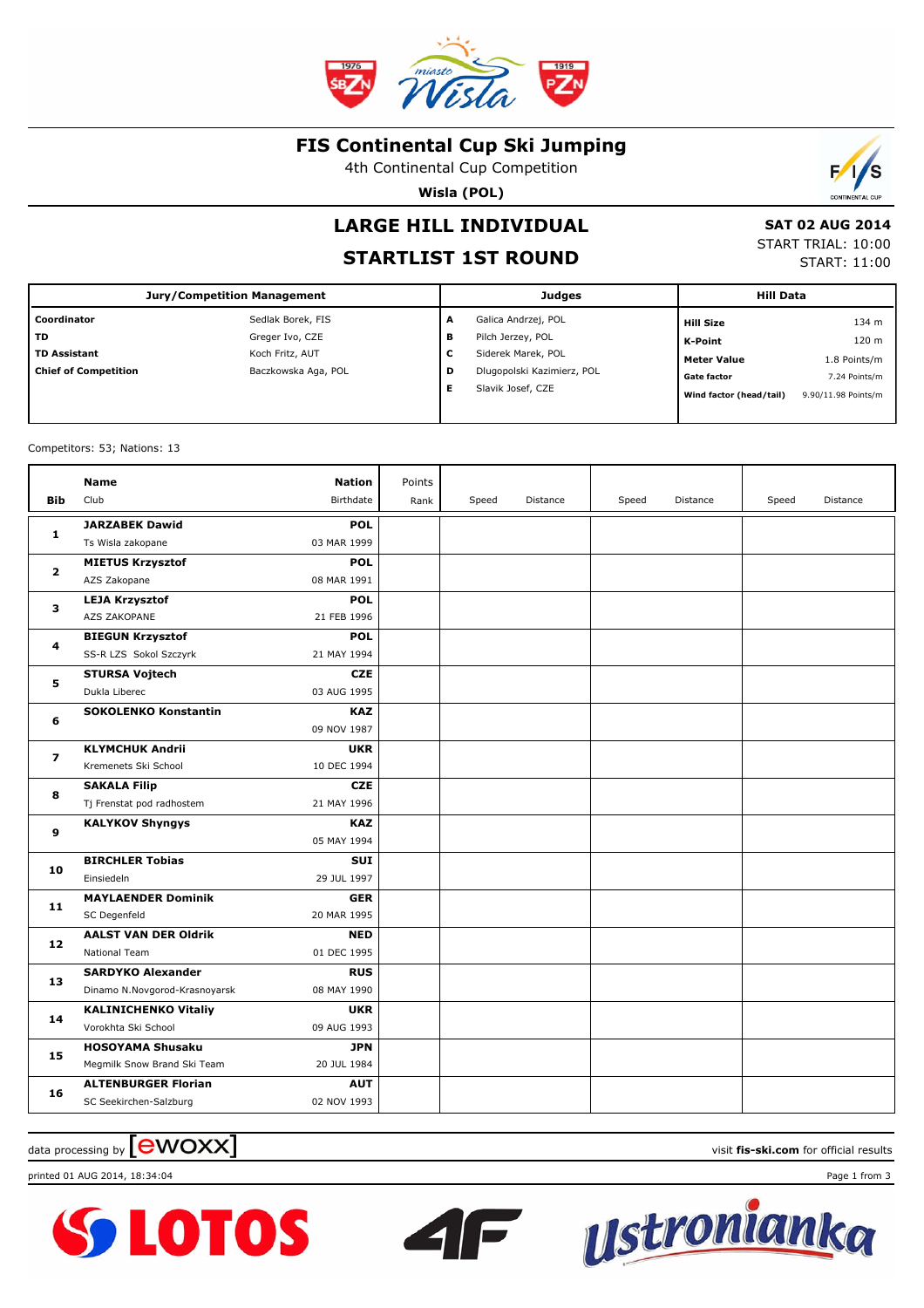

### **FIS Continental Cup Ski Jumping**

4th Continental Cup Competition

**Wisla (POL)**



## **STARTLIST 1ST ROUND**

 **SAT 02 AUG 2014** START TRIAL: 10:00

START: 11:00

Б

S

| Jury/Competition Management |                     |   | <b>Judges</b>              | <b>Hill Data</b>        |                     |  |
|-----------------------------|---------------------|---|----------------------------|-------------------------|---------------------|--|
| Coordinator                 | Sedlak Borek, FIS   | A | Galica Andrzej, POL        | <b>Hill Size</b>        | 134 m               |  |
| l TD                        | Greger Ivo, CZE     | в | Pilch Jerzey, POL          | K-Point                 | 120 m               |  |
| TD Assistant                | Koch Fritz, AUT     | c | Siderek Marek, POL         | <b>Meter Value</b>      | 1.8 Points/m        |  |
| <b>Chief of Competition</b> | Baczkowska Aga, POL | D | Dlugopolski Kazimierz, POL | <b>Gate factor</b>      | 7.24 Points/m       |  |
|                             |                     | Е | Slavik Josef, CZE          | Wind factor (head/tail) | 9.90/11.98 Points/m |  |
|                             |                     |   |                            |                         |                     |  |

Competitors: 53; Nations: 13

|                | <b>Name</b>                                            | <b>Nation</b>             | Points |       |          |       |          |       |          |
|----------------|--------------------------------------------------------|---------------------------|--------|-------|----------|-------|----------|-------|----------|
| Bib            | Club                                                   | Birthdate                 | Rank   | Speed | Distance | Speed | Distance | Speed | Distance |
| 1              | <b>JARZABEK Dawid</b>                                  | <b>POL</b>                |        |       |          |       |          |       |          |
|                | Ts Wisla zakopane                                      | 03 MAR 1999               |        |       |          |       |          |       |          |
|                | <b>MIETUS Krzysztof</b>                                | <b>POL</b>                |        |       |          |       |          |       |          |
| $\overline{2}$ | AZS Zakopane                                           | 08 MAR 1991               |        |       |          |       |          |       |          |
| 3              | <b>LEJA Krzysztof</b>                                  | <b>POL</b>                |        |       |          |       |          |       |          |
|                | AZS ZAKOPANE                                           | 21 FEB 1996               |        |       |          |       |          |       |          |
| 4              | <b>BIEGUN Krzysztof</b>                                | <b>POL</b>                |        |       |          |       |          |       |          |
|                | SS-R LZS Sokol Szczyrk                                 | 21 MAY 1994               |        |       |          |       |          |       |          |
| 5              | <b>STURSA Vojtech</b>                                  | <b>CZE</b>                |        |       |          |       |          |       |          |
|                | Dukla Liberec                                          | 03 AUG 1995               |        |       |          |       |          |       |          |
| 6              | <b>SOKOLENKO Konstantin</b>                            | <b>KAZ</b>                |        |       |          |       |          |       |          |
|                |                                                        | 09 NOV 1987               |        |       |          |       |          |       |          |
| 7              | <b>KLYMCHUK Andrii</b>                                 | <b>UKR</b>                |        |       |          |       |          |       |          |
|                | Kremenets Ski School                                   | 10 DEC 1994               |        |       |          |       |          |       |          |
| 8              | <b>SAKALA Filip</b>                                    | <b>CZE</b>                |        |       |          |       |          |       |          |
|                | Tj Frenstat pod radhostem                              | 21 MAY 1996               |        |       |          |       |          |       |          |
| 9              | <b>KALYKOV Shyngys</b>                                 | <b>KAZ</b>                |        |       |          |       |          |       |          |
|                |                                                        | 05 MAY 1994               |        |       |          |       |          |       |          |
| 10             | <b>BIRCHLER Tobias</b>                                 | <b>SUI</b>                |        |       |          |       |          |       |          |
|                | Einsiedeln                                             | 29 JUL 1997               |        |       |          |       |          |       |          |
| 11             | <b>MAYLAENDER Dominik</b>                              | <b>GER</b>                |        |       |          |       |          |       |          |
|                | SC Degenfeld                                           | 20 MAR 1995               |        |       |          |       |          |       |          |
| 12             | <b>AALST VAN DER Oldrik</b>                            | <b>NED</b>                |        |       |          |       |          |       |          |
|                | National Team                                          | 01 DEC 1995               |        |       |          |       |          |       |          |
| 13             | <b>SARDYKO Alexander</b>                               | <b>RUS</b>                |        |       |          |       |          |       |          |
|                | Dinamo N.Novgorod-Krasnoyarsk                          | 08 MAY 1990               |        |       |          |       |          |       |          |
| 14             | <b>KALINICHENKO Vitaliy</b><br>Vorokhta Ski School     | <b>UKR</b><br>09 AUG 1993 |        |       |          |       |          |       |          |
|                |                                                        |                           |        |       |          |       |          |       |          |
| 15             | <b>HOSOYAMA Shusaku</b><br>Megmilk Snow Brand Ski Team | <b>JPN</b><br>20 JUL 1984 |        |       |          |       |          |       |          |
|                |                                                        | <b>AUT</b>                |        |       |          |       |          |       |          |
| 16             | <b>ALTENBURGER Florian</b><br>SC Seekirchen-Salzburg   | 02 NOV 1993               |        |       |          |       |          |       |          |
|                |                                                        |                           |        |       |          |       |          |       |          |

data processing by **CWOXX** and  $\blacksquare$  and  $\blacksquare$  and  $\blacksquare$  and  $\blacksquare$  and  $\blacksquare$  and  $\blacksquare$  and  $\blacksquare$  and  $\blacksquare$  and  $\blacksquare$  and  $\blacksquare$  and  $\blacksquare$  and  $\blacksquare$  and  $\blacksquare$  and  $\blacksquare$  and  $\blacksquare$  and  $\blacksquare$  and  $\blacksquare$  and  $\blacks$ 









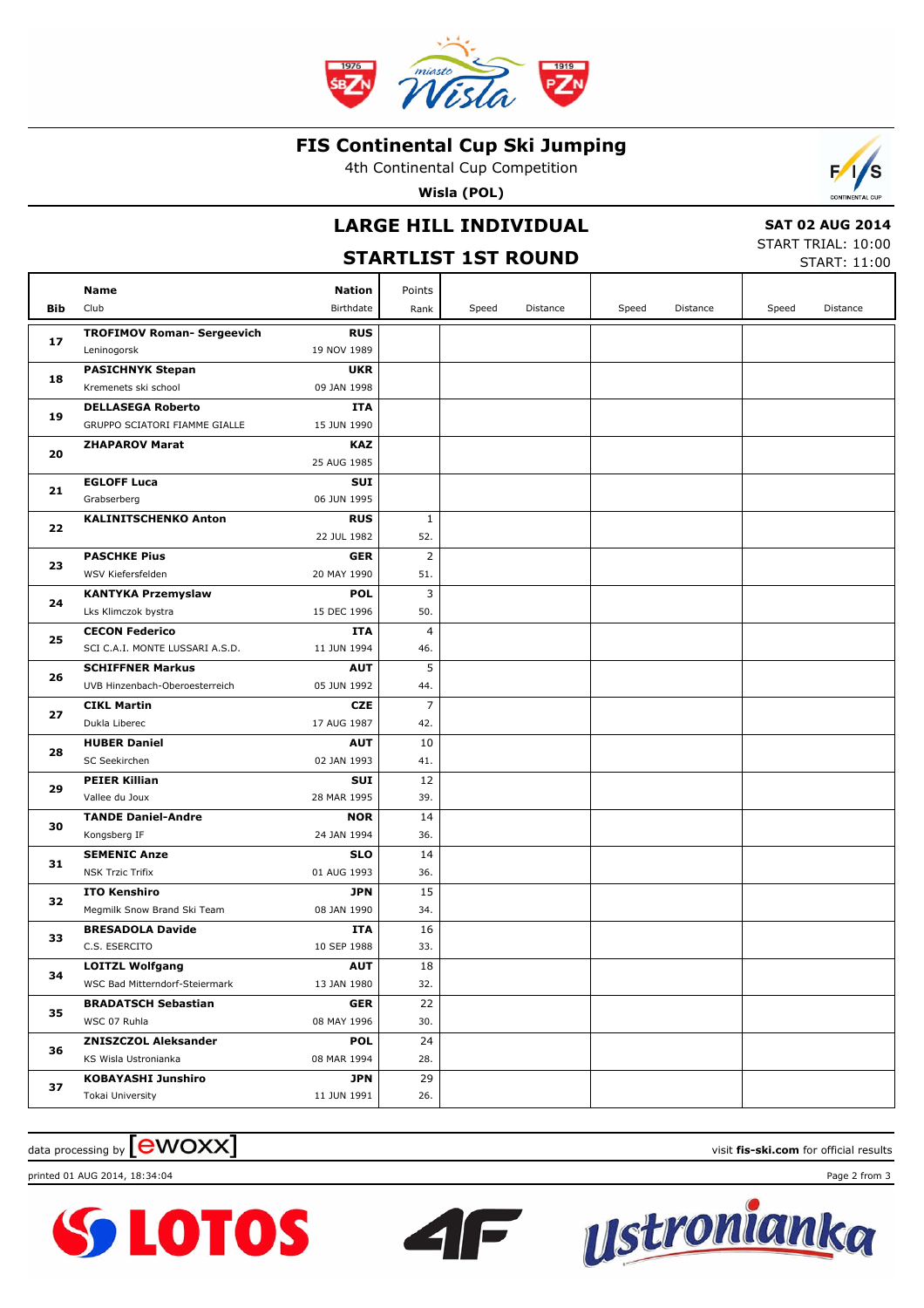

#### **FIS Continental Cup Ski Jumping**

4th Continental Cup Competition

**Wisla (POL)**

# **LARGE HILL INDIVIDUAL**

### **STARTLIST 1ST ROUND**

 **SAT 02 AUG 2014** START TRIAL: 10:00

 $\mathcal{L}$ Æ

START: 11:00

|     | Name                                 | <b>Nation</b>             | Points         |       |          |       |          |       |          |
|-----|--------------------------------------|---------------------------|----------------|-------|----------|-------|----------|-------|----------|
| Bib | Club                                 | Birthdate                 | Rank           | Speed | Distance | Speed | Distance | Speed | Distance |
|     | <b>TROFIMOV Roman- Sergeevich</b>    | <b>RUS</b>                |                |       |          |       |          |       |          |
| 17  | Leninogorsk                          | 19 NOV 1989               |                |       |          |       |          |       |          |
| 18  | <b>PASICHNYK Stepan</b>              | <b>UKR</b>                |                |       |          |       |          |       |          |
|     | Kremenets ski school                 | 09 JAN 1998               |                |       |          |       |          |       |          |
|     | <b>DELLASEGA Roberto</b>             | <b>ITA</b>                |                |       |          |       |          |       |          |
| 19  | GRUPPO SCIATORI FIAMME GIALLE        | 15 JUN 1990               |                |       |          |       |          |       |          |
|     | <b>ZHAPAROV Marat</b>                | <b>KAZ</b>                |                |       |          |       |          |       |          |
| 20  |                                      | 25 AUG 1985               |                |       |          |       |          |       |          |
| 21  | <b>EGLOFF Luca</b>                   | <b>SUI</b>                |                |       |          |       |          |       |          |
|     | Grabserberg                          | 06 JUN 1995               |                |       |          |       |          |       |          |
| 22  | <b>KALINITSCHENKO Anton</b>          | <b>RUS</b>                | $\mathbf{1}$   |       |          |       |          |       |          |
|     |                                      | 22 JUL 1982               | 52.            |       |          |       |          |       |          |
| 23  | <b>PASCHKE Pius</b>                  | <b>GER</b>                | $\overline{2}$ |       |          |       |          |       |          |
|     | WSV Kiefersfelden                    | 20 MAY 1990               | 51.            |       |          |       |          |       |          |
| 24  | KANTYKA Przemyslaw                   | <b>POL</b>                | 3              |       |          |       |          |       |          |
|     | Lks Klimczok bystra                  | 15 DEC 1996               | 50.            |       |          |       |          |       |          |
| 25  | <b>CECON Federico</b>                | ITA                       | $\overline{4}$ |       |          |       |          |       |          |
|     | SCI C.A.I. MONTE LUSSARI A.S.D.      | 11 JUN 1994               | 46.            |       |          |       |          |       |          |
| 26  | <b>SCHIFFNER Markus</b>              | <b>AUT</b>                | 5              |       |          |       |          |       |          |
|     | UVB Hinzenbach-Oberoesterreich       | 05 JUN 1992               | 44.            |       |          |       |          |       |          |
| 27  | <b>CIKL Martin</b>                   | <b>CZE</b>                | 7              |       |          |       |          |       |          |
|     | Dukla Liberec                        | 17 AUG 1987               | 42.            |       |          |       |          |       |          |
| 28  | <b>HUBER Daniel</b><br>SC Seekirchen | <b>AUT</b><br>02 JAN 1993 | 10             |       |          |       |          |       |          |
|     | <b>PEIER Killian</b>                 | <b>SUI</b>                | 41.<br>12      |       |          |       |          |       |          |
| 29  | Vallee du Joux                       | 28 MAR 1995               | 39.            |       |          |       |          |       |          |
|     | <b>TANDE Daniel-Andre</b>            | <b>NOR</b>                | 14             |       |          |       |          |       |          |
| 30  | Kongsberg IF                         | 24 JAN 1994               | 36.            |       |          |       |          |       |          |
|     | <b>SEMENIC Anze</b>                  | <b>SLO</b>                | 14             |       |          |       |          |       |          |
| 31  | <b>NSK Trzic Trifix</b>              | 01 AUG 1993               | 36.            |       |          |       |          |       |          |
|     | <b>ITO Kenshiro</b>                  | <b>JPN</b>                | 15             |       |          |       |          |       |          |
| 32  | Megmilk Snow Brand Ski Team          | 08 JAN 1990               | 34.            |       |          |       |          |       |          |
|     | <b>BRESADOLA Davide</b>              | ITA                       | 16             |       |          |       |          |       |          |
| 33  | C.S. ESERCITO                        | 10 SEP 1988               | 33.            |       |          |       |          |       |          |
|     | <b>LOITZL Wolfgang</b>               | <b>AUT</b>                | $18\,$         |       |          |       |          |       |          |
| 34  | WSC Bad Mitterndorf-Steiermark       | 13 JAN 1980               | 32.            |       |          |       |          |       |          |
| 35  | <b>BRADATSCH Sebastian</b>           | <b>GER</b>                | 22             |       |          |       |          |       |          |
|     | WSC 07 Ruhla                         | 08 MAY 1996               | 30.            |       |          |       |          |       |          |
|     | <b>ZNISZCZOL Aleksander</b>          | <b>POL</b>                | 24             |       |          |       |          |       |          |
| 36  | KS Wisla Ustronianka                 | 08 MAR 1994               | 28.            |       |          |       |          |       |          |
|     | <b>KOBAYASHI Junshiro</b>            | <b>JPN</b>                | 29             |       |          |       |          |       |          |
| 37  | Tokai University                     | 11 JUN 1991               | 26.            |       |          |       |          |       |          |

 $\blacksquare$ 

## $\alpha$  data processing by  $\boxed{\text{ewOX}}$

printed 01 AUG 2014, 18:34:04 Page 2 from 3